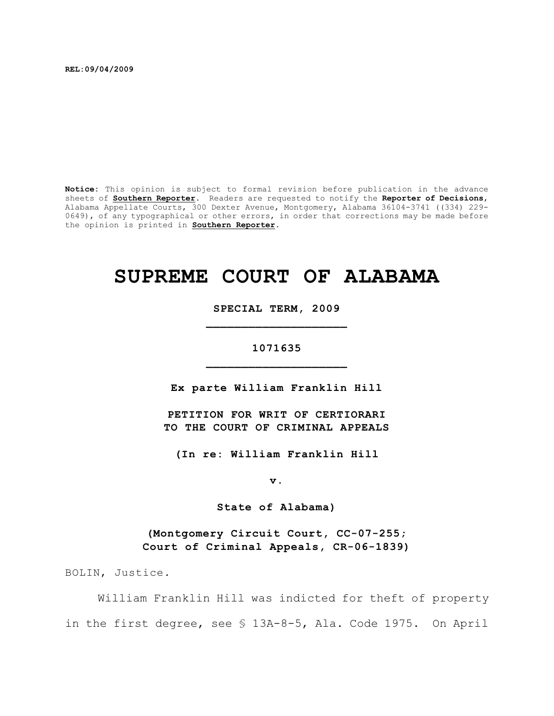**REL:09/04/2009**

**Notice:** This opinion is subject to formal revision before publication in the advance sheets of **Southern Reporter**. Readers are requested to notify the **Reporter of Decisions**, Alabama Appellate Courts, 300 Dexter Avenue, Montgomery, Alabama 36104-3741 ((334) 229- 0649), of any typographical or other errors, in order that corrections may be made before the opinion is printed in **Southern Reporter**.

# **SUPREME COURT OF ALABAMA**

**SPECIAL TERM, 2009 \_\_\_\_\_\_\_\_\_\_\_\_\_\_\_\_\_\_\_\_**

# **1071635 \_\_\_\_\_\_\_\_\_\_\_\_\_\_\_\_\_\_\_\_**

**Ex parte William Franklin Hill**

**PETITION FOR WRIT OF CERTIORARI TO THE COURT OF CRIMINAL APPEALS**

**(In re: William Franklin Hill**

**v.**

**State of Alabama)**

**(Montgomery Circuit Court, CC-07-255; Court of Criminal Appeals, CR-06-1839)**

BOLIN, Justice.

William Franklin Hill was indicted for theft of property in the first degree, see § 13A-8-5, Ala. Code 1975. On April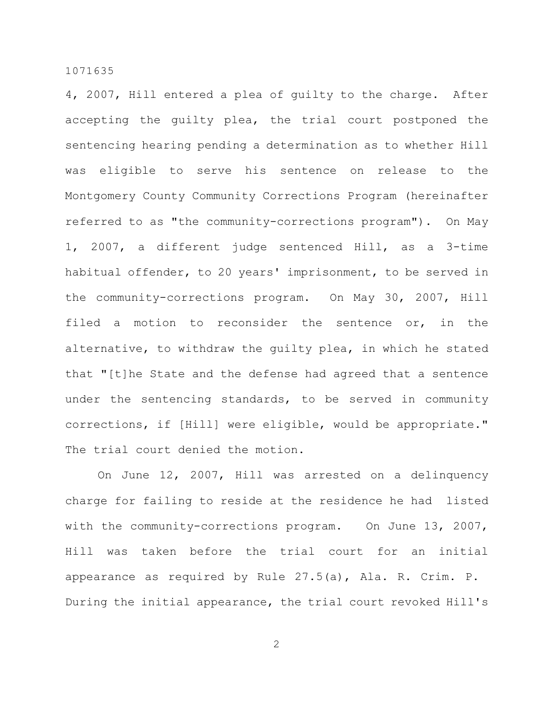4, 2007, Hill entered a plea of guilty to the charge. After accepting the guilty plea, the trial court postponed the sentencing hearing pending a determination as to whether Hill was eligible to serve his sentence on release to the Montgomery County Community Corrections Program (hereinafter referred to as "the community-corrections program"). On May 1, 2007, a different judge sentenced Hill, as a 3-time habitual offender, to 20 years' imprisonment, to be served in the community-corrections program. On May 30, 2007, Hill filed a motion to reconsider the sentence or, in the alternative, to withdraw the guilty plea, in which he stated that "[t]he State and the defense had agreed that a sentence under the sentencing standards, to be served in community corrections, if [Hill] were eligible, would be appropriate." The trial court denied the motion.

On June 12, 2007, Hill was arrested on a delinquency charge for failing to reside at the residence he had listed with the community-corrections program. On June 13, 2007, Hill was taken before the trial court for an initial appearance as required by Rule 27.5(a), Ala. R. Crim. P. During the initial appearance, the trial court revoked Hill's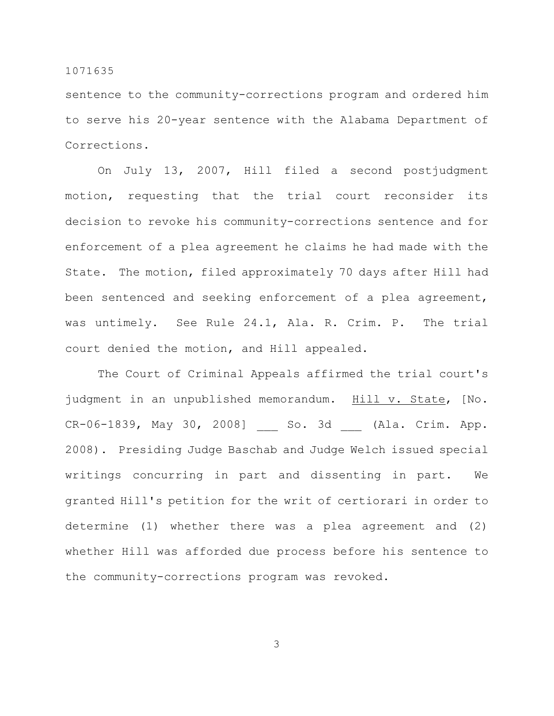sentence to the community-corrections program and ordered him to serve his 20-year sentence with the Alabama Department of Corrections.

On July 13, 2007, Hill filed a second postjudgment motion, requesting that the trial court reconsider its decision to revoke his community-corrections sentence and for enforcement of a plea agreement he claims he had made with the State. The motion, filed approximately 70 days after Hill had been sentenced and seeking enforcement of a plea agreement, was untimely. See Rule 24.1, Ala. R. Crim. P. The trial court denied the motion, and Hill appealed.

The Court of Criminal Appeals affirmed the trial court's judgment in an unpublished memorandum. Hill v. State, [No. CR-06-1839, May 30, 2008] So. 3d (Ala. Crim. App. 2008). Presiding Judge Baschab and Judge Welch issued special writings concurring in part and dissenting in part. We granted Hill's petition for the writ of certiorari in order to determine (1) whether there was a plea agreement and (2) whether Hill was afforded due process before his sentence to the community-corrections program was revoked.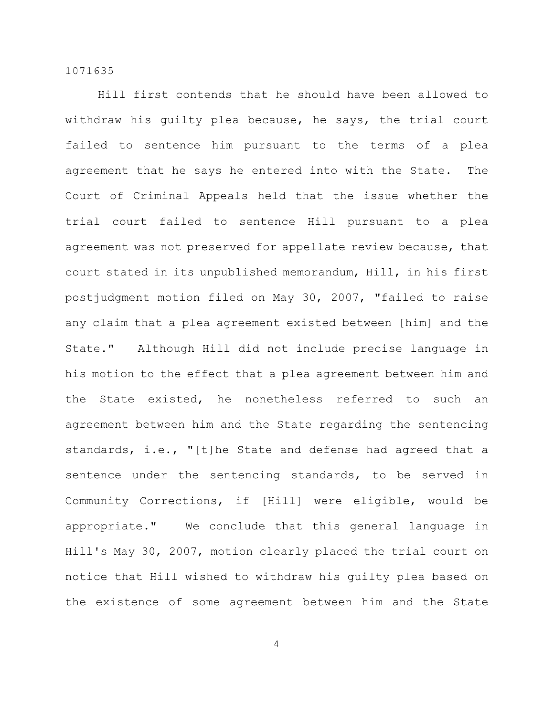Hill first contends that he should have been allowed to withdraw his guilty plea because, he says, the trial court failed to sentence him pursuant to the terms of a plea agreement that he says he entered into with the State. The Court of Criminal Appeals held that the issue whether the trial court failed to sentence Hill pursuant to a plea agreement was not preserved for appellate review because, that court stated in its unpublished memorandum, Hill, in his first postjudgment motion filed on May 30, 2007, "failed to raise any claim that a plea agreement existed between [him] and the State." Although Hill did not include precise language in his motion to the effect that a plea agreement between him and the State existed, he nonetheless referred to such an agreement between him and the State regarding the sentencing standards, i.e., "[t]he State and defense had agreed that a sentence under the sentencing standards, to be served in Community Corrections, if [Hill] were eligible, would be appropriate." We conclude that this general language in Hill's May 30, 2007, motion clearly placed the trial court on notice that Hill wished to withdraw his guilty plea based on the existence of some agreement between him and the State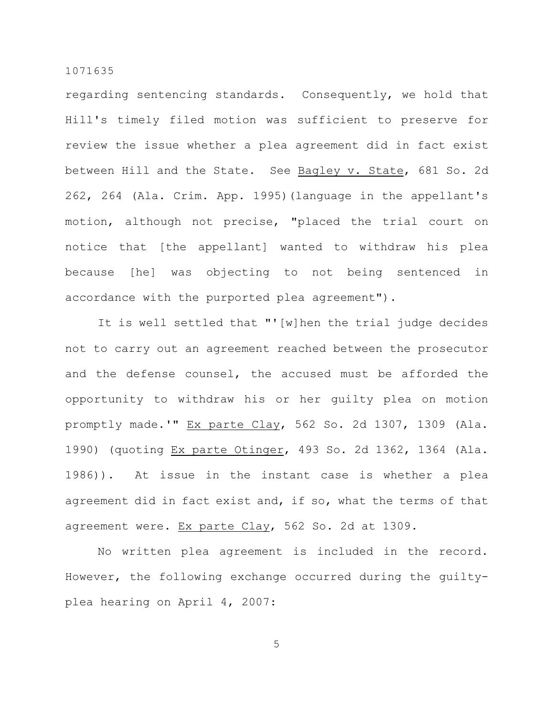regarding sentencing standards. Consequently, we hold that Hill's timely filed motion was sufficient to preserve for review the issue whether a plea agreement did in fact exist between Hill and the State. See Bagley v. State, 681 So. 2d 262, 264 (Ala. Crim. App. 1995)(language in the appellant's motion, although not precise, "placed the trial court on notice that [the appellant] wanted to withdraw his plea because [he] was objecting to not being sentenced in accordance with the purported plea agreement").

It is well settled that "'[w]hen the trial judge decides not to carry out an agreement reached between the prosecutor and the defense counsel, the accused must be afforded the opportunity to withdraw his or her guilty plea on motion promptly made.'" Ex parte Clay, 562 So. 2d 1307, 1309 (Ala. 1990) (quoting Ex parte Otinger, 493 So. 2d 1362, 1364 (Ala. 1986)). At issue in the instant case is whether a plea agreement did in fact exist and, if so, what the terms of that agreement were. Ex parte Clay, 562 So. 2d at 1309.

No written plea agreement is included in the record. However, the following exchange occurred during the guiltyplea hearing on April 4, 2007: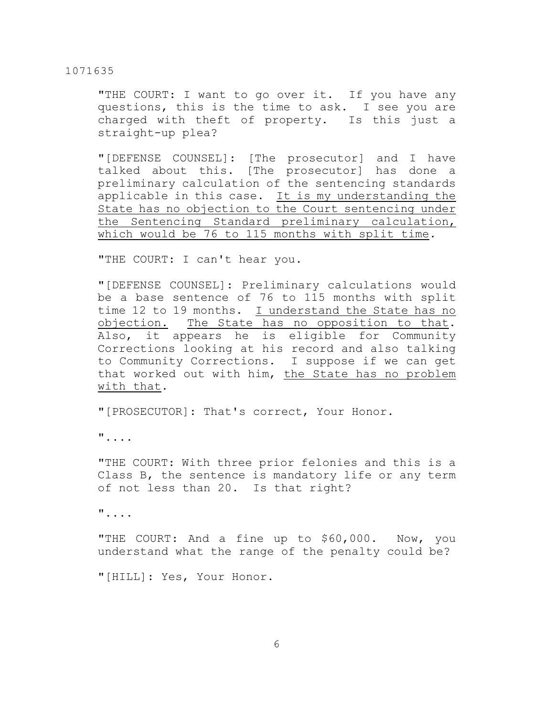"THE COURT: I want to go over it. If you have any questions, this is the time to ask. I see you are charged with theft of property. Is this just a straight-up plea?

"[DEFENSE COUNSEL]: [The prosecutor] and I have talked about this. [The prosecutor] has done a preliminary calculation of the sentencing standards applicable in this case. It is my understanding the State has no objection to the Court sentencing under the Sentencing Standard preliminary calculation, which would be 76 to 115 months with split time.

"THE COURT: I can't hear you.

"[DEFENSE COUNSEL]: Preliminary calculations would be a base sentence of 76 to 115 months with split time 12 to 19 months. I understand the State has no objection. The State has no opposition to that. Also, it appears he is eligible for Community Corrections looking at his record and also talking to Community Corrections. I suppose if we can get that worked out with him, the State has no problem with that.

"[PROSECUTOR]: That's correct, Your Honor.

"....

"THE COURT: With three prior felonies and this is a Class B, the sentence is mandatory life or any term of not less than 20. Is that right?

"....

"THE COURT: And a fine up to \$60,000. Now, you understand what the range of the penalty could be?

"[HILL]: Yes, Your Honor.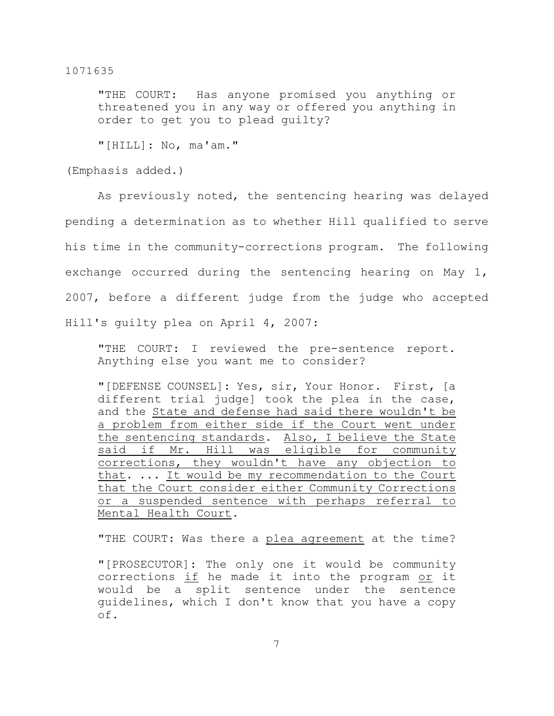"THE COURT: Has anyone promised you anything or threatened you in any way or offered you anything in order to get you to plead guilty?

"[HILL]: No, ma'am."

(Emphasis added.)

As previously noted, the sentencing hearing was delayed pending a determination as to whether Hill qualified to serve his time in the community-corrections program. The following exchange occurred during the sentencing hearing on May 1, 2007, before a different judge from the judge who accepted Hill's guilty plea on April 4, 2007:

"THE COURT: I reviewed the pre-sentence report. Anything else you want me to consider?

"[DEFENSE COUNSEL]: Yes, sir, Your Honor. First, [a different trial judge] took the plea in the case, and the State and defense had said there wouldn't be a problem from either side if the Court went under the sentencing standards. Also, I believe the State said if Mr. Hill was eligible for community corrections, they wouldn't have any objection to that. ... It would be my recommendation to the Court that the Court consider either Community Corrections or a suspended sentence with perhaps referral to Mental Health Court.

"THE COURT: Was there a plea agreement at the time?

"[PROSECUTOR]: The only one it would be community corrections if he made it into the program or it would be a split sentence under the sentence guidelines, which I don't know that you have a copy of.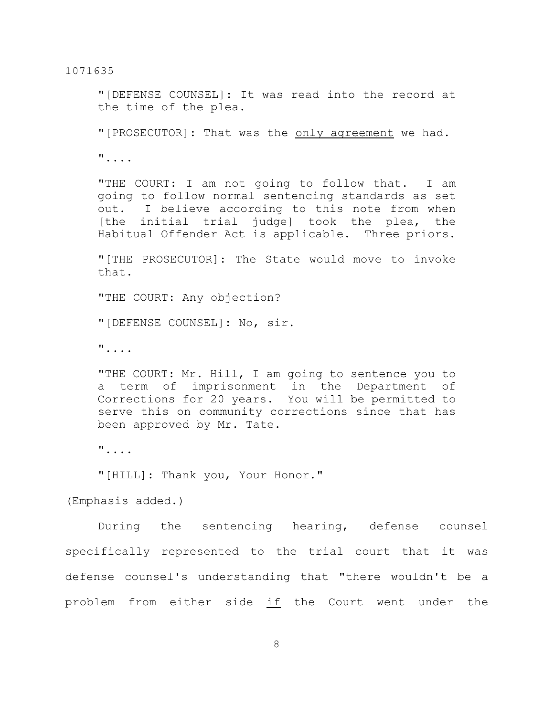"[DEFENSE COUNSEL]: It was read into the record at the time of the plea.

"[PROSECUTOR]: That was the only agreement we had.

"....

"THE COURT: I am not going to follow that. I am going to follow normal sentencing standards as set out. I believe according to this note from when [the initial trial judge] took the plea, the Habitual Offender Act is applicable. Three priors.

"[THE PROSECUTOR]: The State would move to invoke that.

"THE COURT: Any objection?

"[DEFENSE COUNSEL]: No, sir.

"....

"THE COURT: Mr. Hill, I am going to sentence you to a term of imprisonment in the Department of Corrections for 20 years. You will be permitted to serve this on community corrections since that has been approved by Mr. Tate.

"....

"[HILL]: Thank you, Your Honor."

(Emphasis added.)

During the sentencing hearing, defense counsel specifically represented to the trial court that it was defense counsel's understanding that "there wouldn't be a problem from either side if the Court went under the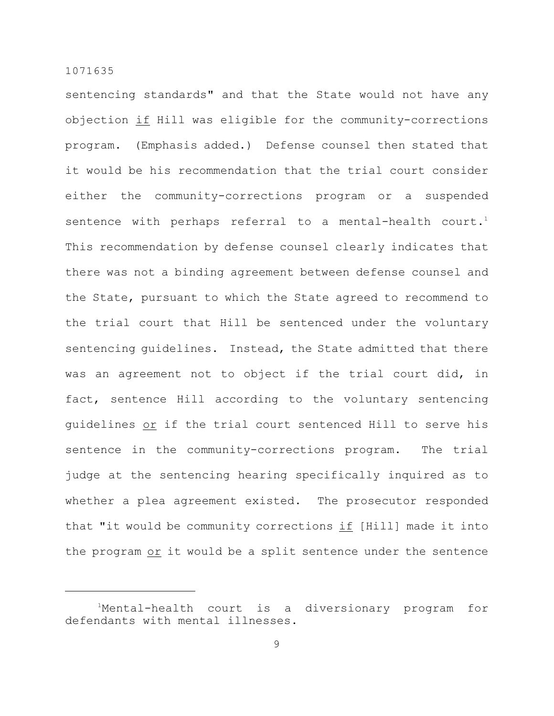sentencing standards" and that the State would not have any objection if Hill was eligible for the community-corrections program. (Emphasis added.) Defense counsel then stated that it would be his recommendation that the trial court consider either the community-corrections program or a suspended sentence with perhaps referral to a mental-health court.<sup>1</sup> This recommendation by defense counsel clearly indicates that there was not a binding agreement between defense counsel and the State, pursuant to which the State agreed to recommend to the trial court that Hill be sentenced under the voluntary sentencing guidelines. Instead, the State admitted that there was an agreement not to object if the trial court did, in fact, sentence Hill according to the voluntary sentencing guidelines or if the trial court sentenced Hill to serve his sentence in the community-corrections program. The trial judge at the sentencing hearing specifically inquired as to whether a plea agreement existed. The prosecutor responded that "it would be community corrections if [Hill] made it into the program or it would be a split sentence under the sentence

<sup>&</sup>lt;sup>1</sup>Mental-health court is a diversionary program for defendants with mental illnesses.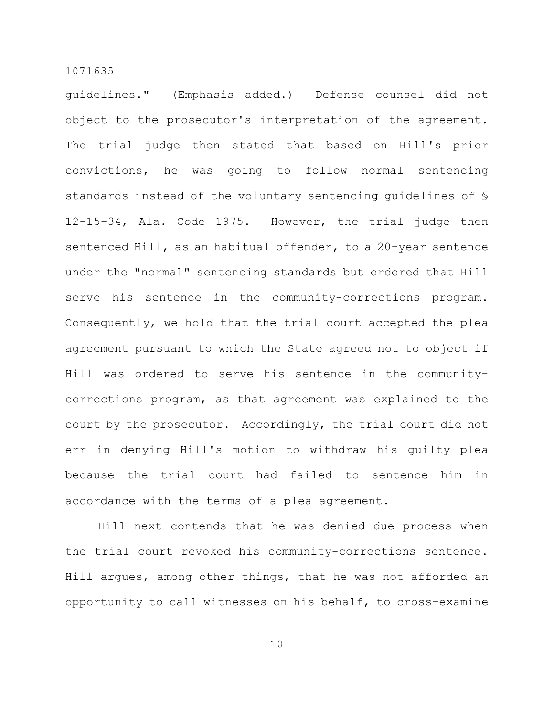guidelines." (Emphasis added.) Defense counsel did not object to the prosecutor's interpretation of the agreement. The trial judge then stated that based on Hill's prior convictions, he was going to follow normal sentencing standards instead of the voluntary sentencing guidelines of § 12-15-34, Ala. Code 1975. However, the trial judge then sentenced Hill, as an habitual offender, to a 20-year sentence under the "normal" sentencing standards but ordered that Hill serve his sentence in the community-corrections program. Consequently, we hold that the trial court accepted the plea agreement pursuant to which the State agreed not to object if Hill was ordered to serve his sentence in the communitycorrections program, as that agreement was explained to the court by the prosecutor. Accordingly, the trial court did not err in denying Hill's motion to withdraw his guilty plea because the trial court had failed to sentence him in accordance with the terms of a plea agreement.

Hill next contends that he was denied due process when the trial court revoked his community-corrections sentence. Hill argues, among other things, that he was not afforded an opportunity to call witnesses on his behalf, to cross-examine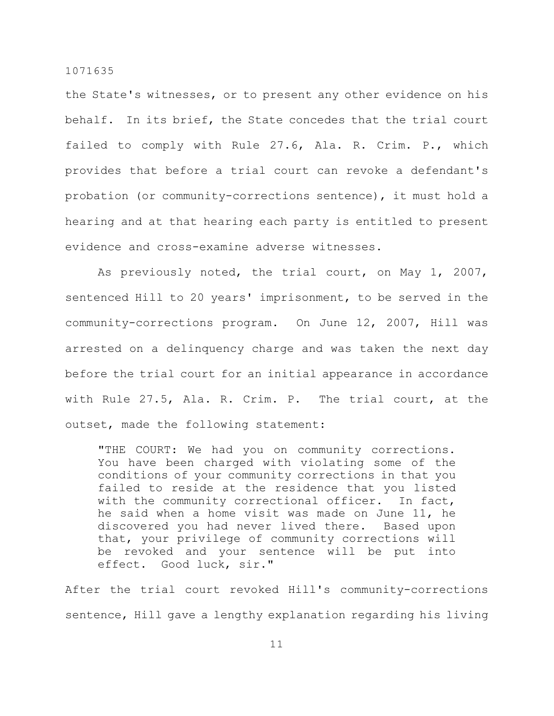the State's witnesses, or to present any other evidence on his behalf. In its brief, the State concedes that the trial court failed to comply with Rule 27.6, Ala. R. Crim. P., which provides that before a trial court can revoke a defendant's probation (or community-corrections sentence), it must hold a hearing and at that hearing each party is entitled to present evidence and cross-examine adverse witnesses.

As previously noted, the trial court, on May 1, 2007, sentenced Hill to 20 years' imprisonment, to be served in the community-corrections program. On June 12, 2007, Hill was arrested on a delinquency charge and was taken the next day before the trial court for an initial appearance in accordance with Rule 27.5, Ala. R. Crim. P. The trial court, at the outset, made the following statement:

"THE COURT: We had you on community corrections. You have been charged with violating some of the conditions of your community corrections in that you failed to reside at the residence that you listed with the community correctional officer. In fact, he said when a home visit was made on June 11, he discovered you had never lived there. Based upon that, your privilege of community corrections will be revoked and your sentence will be put into effect. Good luck, sir."

After the trial court revoked Hill's community-corrections sentence, Hill gave a lengthy explanation regarding his living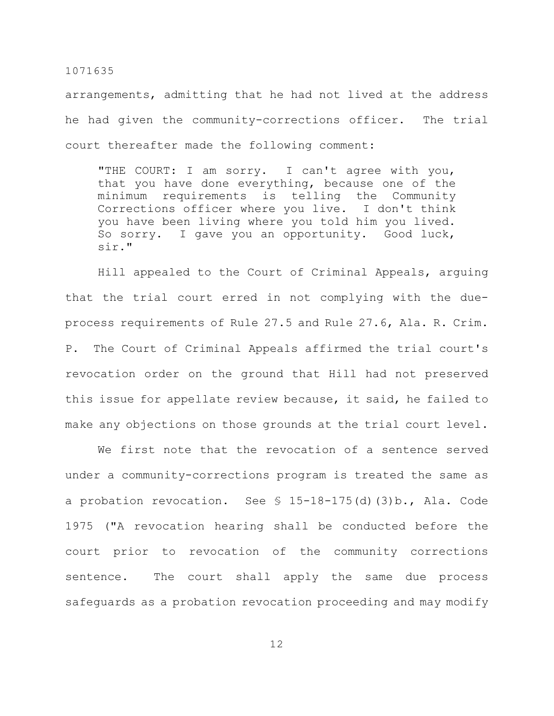arrangements, admitting that he had not lived at the address he had given the community-corrections officer. The trial court thereafter made the following comment:

"THE COURT: I am sorry. I can't agree with you, that you have done everything, because one of the minimum requirements is telling the Community Corrections officer where you live. I don't think you have been living where you told him you lived. So sorry. I gave you an opportunity. Good luck, sir."

Hill appealed to the Court of Criminal Appeals, arguing that the trial court erred in not complying with the dueprocess requirements of Rule 27.5 and Rule 27.6, Ala. R. Crim. P. The Court of Criminal Appeals affirmed the trial court's revocation order on the ground that Hill had not preserved this issue for appellate review because, it said, he failed to make any objections on those grounds at the trial court level.

We first note that the revocation of a sentence served under a community-corrections program is treated the same as a probation revocation. See § 15-18-175(d)(3)b., Ala. Code 1975 ("A revocation hearing shall be conducted before the court prior to revocation of the community corrections sentence. The court shall apply the same due process safeguards as a probation revocation proceeding and may modify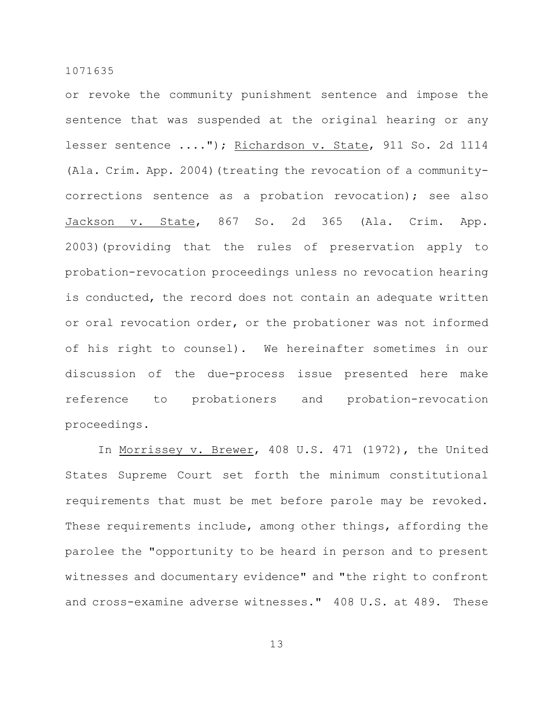or revoke the community punishment sentence and impose the sentence that was suspended at the original hearing or any lesser sentence ...."); Richardson v. State, 911 So. 2d 1114 (Ala. Crim. App. 2004)(treating the revocation of a communitycorrections sentence as a probation revocation); see also Jackson v. State, 867 So. 2d 365 (Ala. Crim. App. 2003)(providing that the rules of preservation apply to probation-revocation proceedings unless no revocation hearing is conducted, the record does not contain an adequate written or oral revocation order, or the probationer was not informed of his right to counsel). We hereinafter sometimes in our discussion of the due-process issue presented here make reference to probationers and probation-revocation proceedings.

In Morrissey v. Brewer, 408 U.S. 471 (1972), the United States Supreme Court set forth the minimum constitutional requirements that must be met before parole may be revoked. These requirements include, among other things, affording the parolee the "opportunity to be heard in person and to present witnesses and documentary evidence" and "the right to confront and cross-examine adverse witnesses." 408 U.S. at 489. These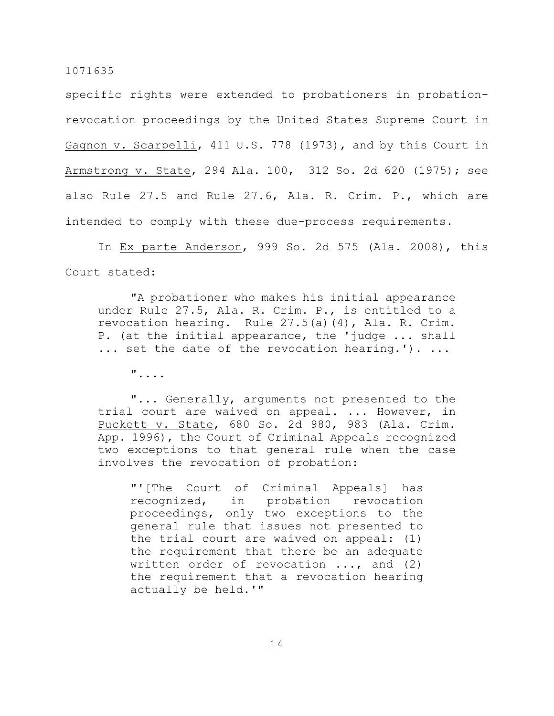specific rights were extended to probationers in probationrevocation proceedings by the United States Supreme Court in Gagnon v. Scarpelli, 411 U.S. 778 (1973), and by this Court in Armstrong v. State, 294 Ala. 100, 312 So. 2d 620 (1975); see also Rule 27.5 and Rule 27.6, Ala. R. Crim. P., which are intended to comply with these due-process requirements.

In Ex parte Anderson, 999 So. 2d 575 (Ala. 2008), this Court stated:

"A probationer who makes his initial appearance under Rule 27.5, Ala. R. Crim. P., is entitled to a revocation hearing. Rule 27.5(a)(4), Ala. R. Crim. P. (at the initial appearance, the 'judge ... shall ... set the date of the revocation hearing.'). ...

"....

"... Generally, arguments not presented to the trial court are waived on appeal. ... However, in Puckett v. State, 680 So. 2d 980, 983 (Ala. Crim. App. 1996), the Court of Criminal Appeals recognized two exceptions to that general rule when the case involves the revocation of probation:

"'[The Court of Criminal Appeals] has recognized, in probation revocation proceedings, only two exceptions to the general rule that issues not presented to the trial court are waived on appeal: (1) the requirement that there be an adequate written order of revocation ..., and (2) the requirement that a revocation hearing actually be held.'"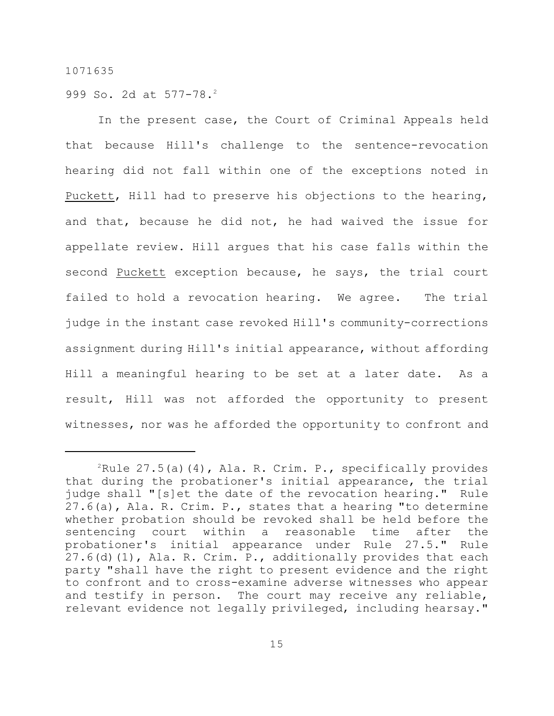999 So. 2d at 577-78.<sup>2</sup>

In the present case, the Court of Criminal Appeals held that because Hill's challenge to the sentence-revocation hearing did not fall within one of the exceptions noted in Puckett, Hill had to preserve his objections to the hearing, and that, because he did not, he had waived the issue for appellate review. Hill argues that his case falls within the second Puckett exception because, he says, the trial court failed to hold a revocation hearing. We agree. The trial judge in the instant case revoked Hill's community-corrections assignment during Hill's initial appearance, without affording Hill a meaningful hearing to be set at a later date. As a result, Hill was not afforded the opportunity to present witnesses, nor was he afforded the opportunity to confront and

 $P^2$ Rule 27.5(a)(4), Ala. R. Crim. P., specifically provides that during the probationer's initial appearance, the trial judge shall "[s]et the date of the revocation hearing." Rule 27.6(a), Ala. R. Crim. P., states that a hearing "to determine whether probation should be revoked shall be held before the sentencing court within a reasonable time after the probationer's initial appearance under Rule 27.5." Rule 27.6(d)(1), Ala. R. Crim. P., additionally provides that each party "shall have the right to present evidence and the right to confront and to cross-examine adverse witnesses who appear and testify in person. The court may receive any reliable, relevant evidence not legally privileged, including hearsay."